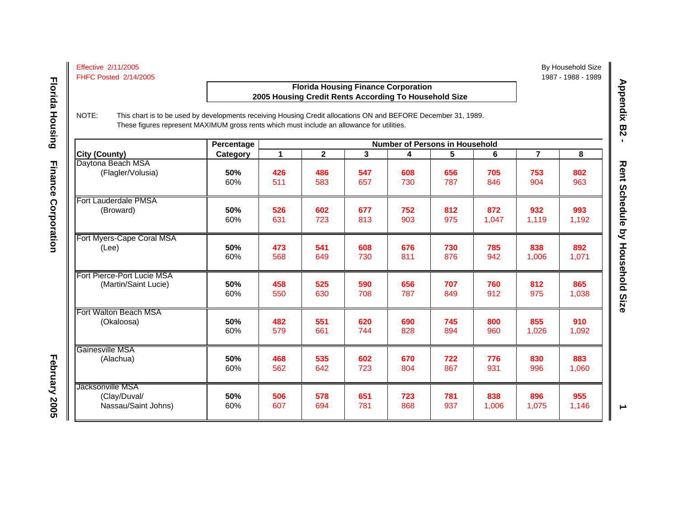| <b>Effective 2/11/2005</b>   |  |
|------------------------------|--|
| <b>FHFC Posted 2/14/2005</b> |  |

## **Florida Housing Finance Corporation 2005 Housing Credit Rents According To Household Size**

**Florida Housing** 

**Finance Corporation** 

NOTE: This chart is to be used by developments receiving Housing Credit allocations ON and BEFORE December 31, 1989. These figures represent MAXIMUM gross rents which must include an allowance for utilities.

|                                                         | Percentage |            |             | <b>Number of Persons in Household</b> |            |            |              |                |              |  |
|---------------------------------------------------------|------------|------------|-------------|---------------------------------------|------------|------------|--------------|----------------|--------------|--|
| <b>City (County)</b>                                    | Category   | 1          | $\mathbf 2$ | 3                                     | 4          | 5          | 6            | $\overline{7}$ | 8            |  |
| Daytona Beach MSA                                       | 50%        | 426        | 486         | 547                                   | 608        | 656        | 705          | 753            | 802          |  |
| (Flagler/Volusia)                                       | 60%        | 511        | 583         | 657                                   | 730        | 787        | 846          | 904            | 963          |  |
| Fort Lauderdale PMSA                                    | 50%        | 526        | 602         | 677                                   | 752        | 812        | 872          | 932            | 993          |  |
| (Broward)                                               | 60%        | 631        | 723         | 813                                   | 903        | 975        | 1,047        | 1,119          | 1,192        |  |
| Fort Myers-Cape Coral MSA                               | 50%        | 473        | 541         | 608                                   | 676        | 730        | 785          | 838            | 892          |  |
| (Lee)                                                   | 60%        | 568        | 649         | 730                                   | 811        | 876        | 942          | 1,006          | 1,071        |  |
| Fort Pierce-Port Lucie MSA                              | 50%        | 458        | 525         | 590                                   | 656        | 707        | 760          | 812            | 865          |  |
| (Martin/Saint Lucie)                                    | 60%        | 550        | 630         | 708                                   | 787        | 849        | 912          | 975            | 1,038        |  |
| Fort Walton Beach MSA                                   | 50%        | 482        | 551         | 620                                   | 690        | 745        | 800          | 855            | 910          |  |
| (Okaloosa)                                              | 60%        | 579        | 661         | 744                                   | 828        | 894        | 960          | 1,026          | 1,092        |  |
| Gainesville MSA                                         | 50%        | 468        | 535         | 602                                   | 670        | 722        | 776          | 830            | 883          |  |
| (Alachua)                                               | 60%        | 562        | 642         | 723                                   | 804        | 867        | 931          | 996            | 1,060        |  |
| Jacksonville MSA<br>(Clay/Duval/<br>Nassau/Saint Johns) | 50%<br>60% | 506<br>607 | 578<br>694  | 651<br>781                            | 723<br>868 | 781<br>937 | 838<br>1,006 | 896<br>1,075   | 955<br>1,146 |  |

Appendix B2 -

By Household Size

1987 - 1988 - 1989

**February 2005 Florida Housing Finance Corporation** February 2005

 $\rightarrow$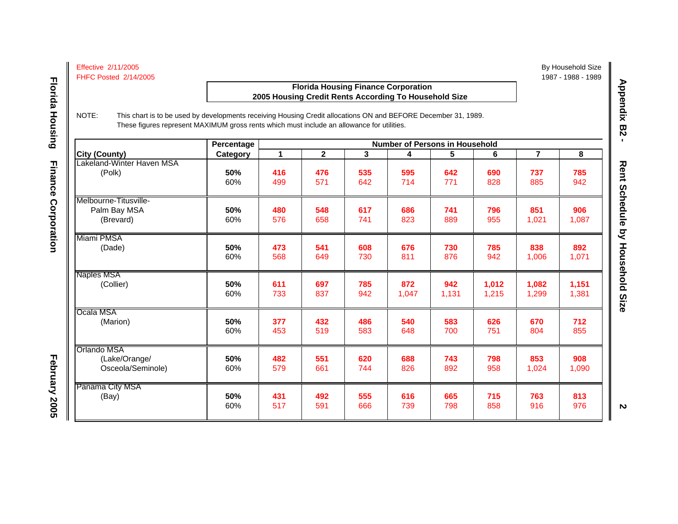| <b>Effective 2/11/2005</b>   |  |
|------------------------------|--|
| <b>FHFC Posted 2/14/2005</b> |  |

### **Florida Housing Finance Corporation 2005 Housing Credit Rents According To Household Size**

NOTE: This chart is to be used by developments receiving Housing Credit allocations ON and BEFORE December 31, 1989.

 **Florida Housing**

**Florida Housing** 

**Finance Corporation** 

These figures represent MAXIMUM gross rents which must include an allowance for utilities. **Percentage 1 Percentage 1 Number of Persons in Household City (County) Category 12345678** Lakeland-Winter Haven MSA(Polk) **50% 416 476 535 595 642 690 737 785** 60% 499 571 642 714 771 828 885 942 Melbourne-Titusville- Palm Bay MSA **50% 480 548 617 686 741 796 851 906** (Brevard) 60% | 576 | 658 | 741 | 823 | 889 | 955 | 1,021 | 1,087 Miami PMSA(Dade) **50% 473 541 608 676 730 785 838 892** 60% 568 649 730 811 876 942 1,006 1,071 Naples MS A(Collier) (Collier) **50% 611 697 785 872 942 1,012 1,082 1,151** 60% 733 837 942 1,047 1,131 1,215 1,299 1,381 Ocala MSA(Marion) **50% 377 432 486 540 583 626 670 712** 60%96 | 453 | 519 | 583 | 648 | 700 | 751 | 804 | 855 Orlando MSA (Lake/Orange/ **50% 482 551 620 688 743 798 853 908** Osceola/Seminole) 60% 579 661 744 826 892 958 1,024 1,090 Panama City MS A (Bay) **50% 431 492 555 616 665 715 763 813** 60%96 | 517 | 591 | 666 | 739 | 798 | 858 | 916 | 976

Appendix B2 -**Appendix B2 -** 

By Household Size

1987 - 1988 - 1989

**February 2005 February 2005** February 2005

**2**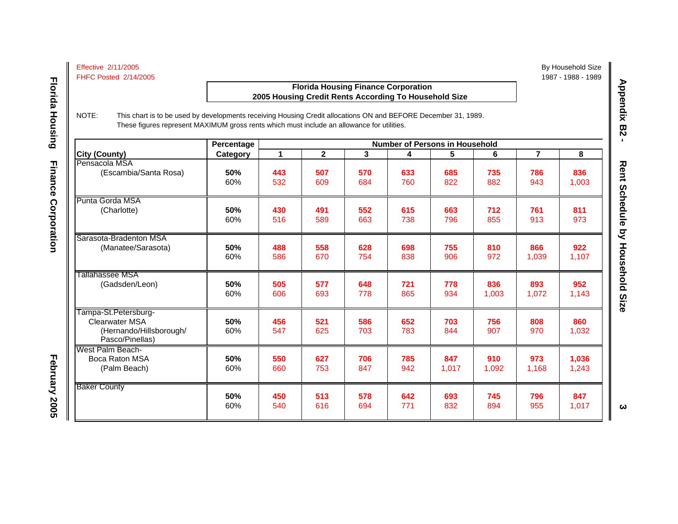### **Florida Housing Finance Corporation 2005 Housing Credit Rents According To Household Size**

 **Florida Housing**

**Florida Housing** 

**February 2005 February 2005** 

February 2005

**Finance Corporation** 

NOTE: This chart is to be used by developments receiving Housing Credit allocations ON and BEFORE December 31, 1989. These figures represent MAXIMUM gross rents which must include an allowance for utilities.

|                                                                                             | Percentage |            |                |            |            | <b>Number of Persons in Household</b> |              |                |                |
|---------------------------------------------------------------------------------------------|------------|------------|----------------|------------|------------|---------------------------------------|--------------|----------------|----------------|
| City (County)                                                                               | Category   | 1          | $\overline{2}$ | 3          | 4          | 5                                     | 6            | $\overline{7}$ | 8              |
| Pensacola MSA                                                                               | 50%        | 443        | 507            | 570        | 633        | 685                                   | 735          | 786            | 836            |
| (Escambia/Santa Rosa)                                                                       | 60%        | 532        | 609            | 684        | 760        | 822                                   | 882          | 943            | 1,003          |
| Punta Gorda MSA                                                                             | 50%        | 430        | 491            | 552        | 615        | 663                                   | 712          | 761            | 811            |
| (Charlotte)                                                                                 | 60%        | 516        | 589            | 663        | 738        | 796                                   | 855          | 913            | 973            |
| Sarasota-Bradenton MSA                                                                      | 50%        | 488        | 558            | 628        | 698        | 755                                   | 810          | 866            | 922            |
| (Manatee/Sarasota)                                                                          | 60%        | 586        | 670            | 754        | 838        | 906                                   | 972          | 1,039          | 1,107          |
| Tallahassee MSA                                                                             | 50%        | 505        | 577            | 648        | 721        | 778                                   | 836          | 893            | 952            |
| (Gadsden/Leon)                                                                              | 60%        | 606        | 693            | 778        | 865        | 934                                   | 1,003        | 1,072          | 1,143          |
| Tampa-St.Petersburg-<br><b>Clearwater MSA</b><br>(Hernando/Hillsborough/<br>Pasco/Pinellas) | 50%<br>60% | 456<br>547 | 521<br>625     | 586<br>703 | 652<br>783 | 703<br>844                            | 756<br>907   | 808<br>970     | 860<br>1,032   |
| West Palm Beach-<br>Boca Raton MSA<br>(Palm Beach)                                          | 50%<br>60% | 550<br>660 | 627<br>753     | 706<br>847 | 785<br>942 | 847<br>1,017                          | 910<br>1,092 | 973<br>1,168   | 1,036<br>1,243 |
| <b>Baker County</b>                                                                         | 50%        | 450        | 513            | 578        | 642        | 693                                   | 745          | 796            | 847            |
|                                                                                             | 60%        | 540        | 616            | 694        | 771        | 832                                   | 894          | 955            | 1,017          |

Appendix B2 -**Appendix B2 -** 

By Household Size

1987 - 1988 - 1989

 $\boldsymbol{\omega}$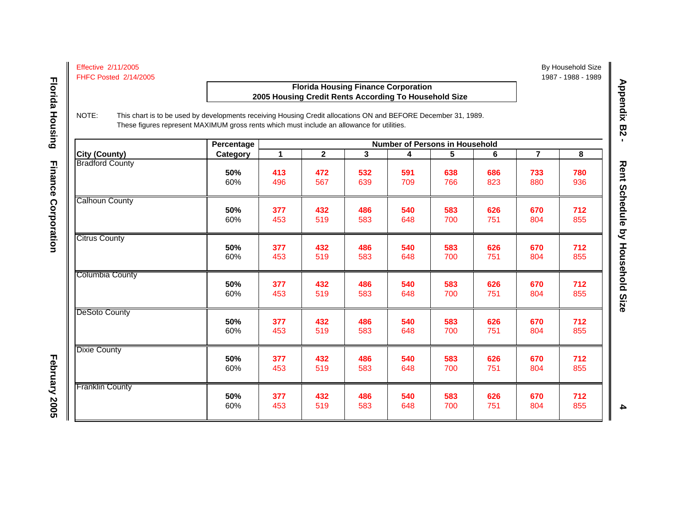### **Florida Housing Finance Corporation 2005 Housing Credit Rents According To Household Size**

NOTE: This chart is to be used by developments receiving Housing Credit allocations ON and BEFORE December 31, 1989. These figures represent MAXIMUM gross rents which must include an allowance for utilities.

|                        | Percentage | <b>Number of Persons in Household</b> |              |     |     |     |     |                |     |  |
|------------------------|------------|---------------------------------------|--------------|-----|-----|-----|-----|----------------|-----|--|
| <b>City (County)</b>   | Category   | 1                                     | $\mathbf{2}$ | 3   | 4   | 5   | 6   | $\overline{7}$ | 8   |  |
| <b>Bradford County</b> | 50%        | 413                                   | 472          | 532 | 591 | 638 | 686 | 733            | 780 |  |
|                        | 60%        | 496                                   | 567          | 639 | 709 | 766 | 823 | 880            | 936 |  |
| <b>Calhoun County</b>  | 50%        | 377                                   | 432          | 486 | 540 | 583 | 626 | 670            | 712 |  |
|                        | 60%        | 453                                   | 519          | 583 | 648 | 700 | 751 | 804            | 855 |  |
| <b>Citrus County</b>   | 50%        | 377                                   | 432          | 486 | 540 | 583 | 626 | 670            | 712 |  |
|                        | 60%        | 453                                   | 519          | 583 | 648 | 700 | 751 | 804            | 855 |  |
| <b>Columbia County</b> | 50%        | 377                                   | 432          | 486 | 540 | 583 | 626 | 670            | 712 |  |
|                        | 60%        | 453                                   | 519          | 583 | 648 | 700 | 751 | 804            | 855 |  |
| DeSoto County          | 50%        | 377                                   | 432          | 486 | 540 | 583 | 626 | 670            | 712 |  |
|                        | 60%        | 453                                   | 519          | 583 | 648 | 700 | 751 | 804            | 855 |  |
| <b>Dixie County</b>    | 50%        | 377                                   | 432          | 486 | 540 | 583 | 626 | 670            | 712 |  |
|                        | 60%        | 453                                   | 519          | 583 | 648 | 700 | 751 | 804            | 855 |  |
| <b>Franklin County</b> | 50%        | 377                                   | 432          | 486 | 540 | 583 | 626 | 670            | 712 |  |
|                        | 60%        | 453                                   | 519          | 583 | 648 | 700 | 751 | 804            | 855 |  |

Appendix B2 -**Appendix B2 -** 

By Household Size

1987 - 1988 - 1989

 $\blacktriangle$ 

February 2005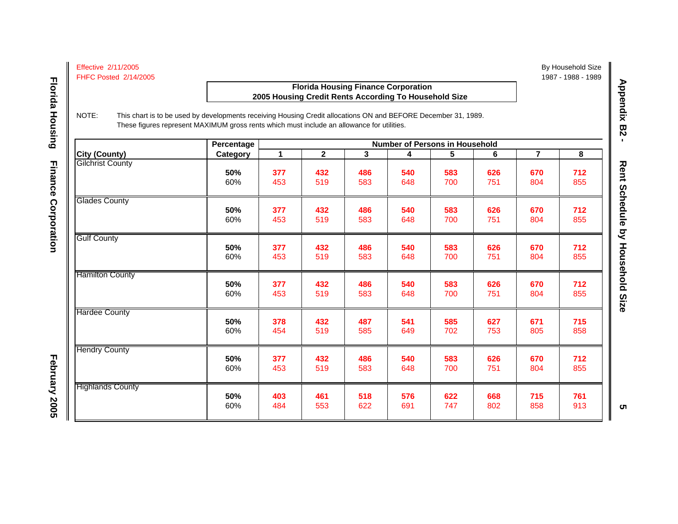### **Florida Housing Finance Corporation 2005 Housing Credit Rents According To Household Size**

 **Florida Housing**

**Florida Housing** 

**February 2005 February 2005** 

February 2005

**Finance Corporation** 

NOTE: This chart is to be used by developments receiving Housing Credit allocations ON and BEFORE December 31, 1989. These figures represent MAXIMUM gross rents which must include an allowance for utilities.

|                         | Percentage |     |              |     | <b>Number of Persons in Household</b> |     |     |                |     |
|-------------------------|------------|-----|--------------|-----|---------------------------------------|-----|-----|----------------|-----|
| <b>City (County)</b>    | Category   | 1   | $\mathbf{2}$ | 3   | 4                                     | 5   | 6   | $\overline{7}$ | 8   |
| <b>Gilchrist County</b> | 50%        | 377 | 432          | 486 | 540                                   | 583 | 626 | 670            | 712 |
|                         | 60%        | 453 | 519          | 583 | 648                                   | 700 | 751 | 804            | 855 |
| <b>Glades County</b>    | 50%        | 377 | 432          | 486 | 540                                   | 583 | 626 | 670            | 712 |
|                         | 60%        | 453 | 519          | 583 | 648                                   | 700 | 751 | 804            | 855 |
| <b>Gulf County</b>      | 50%        | 377 | 432          | 486 | 540                                   | 583 | 626 | 670            | 712 |
|                         | 60%        | 453 | 519          | 583 | 648                                   | 700 | 751 | 804            | 855 |
| <b>Hamilton County</b>  | 50%        | 377 | 432          | 486 | 540                                   | 583 | 626 | 670            | 712 |
|                         | 60%        | 453 | 519          | 583 | 648                                   | 700 | 751 | 804            | 855 |
| <b>Hardee County</b>    | 50%        | 378 | 432          | 487 | 541                                   | 585 | 627 | 671            | 715 |
|                         | 60%        | 454 | 519          | 585 | 649                                   | 702 | 753 | 805            | 858 |
| <b>Hendry County</b>    | 50%        | 377 | 432          | 486 | 540                                   | 583 | 626 | 670            | 712 |
|                         | 60%        | 453 | 519          | 583 | 648                                   | 700 | 751 | 804            | 855 |
| <b>Highlands County</b> | 50%        | 403 | 461          | 518 | 576                                   | 622 | 668 | 715            | 761 |
|                         | 60%        | 484 | 553          | 622 | 691                                   | 747 | 802 | 858            | 913 |

 By Household Size 1987 - 1988 - 1989

**ຕ**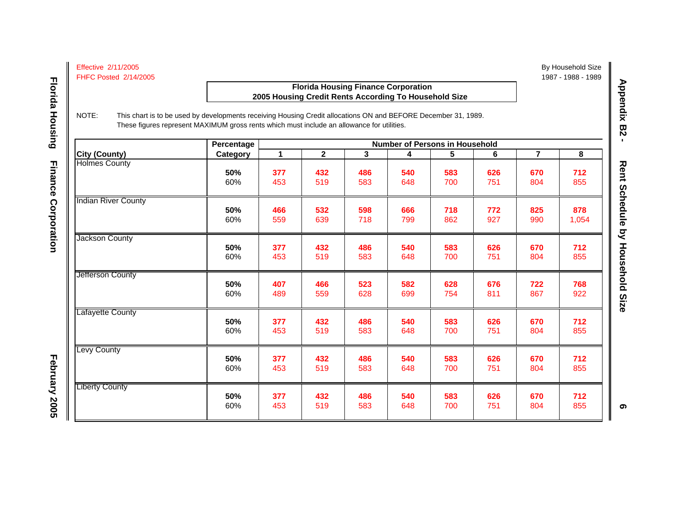### **Florida Housing Finance Corporation 2005 Housing Credit Rents According To Household Size**

 **Florida Housing**

**Florida Housing** 

NOTE: This chart is to be used by developments receiving Housing Credit allocations ON and BEFORE December 31, 1989. These figures represent MAXIMUM gross rents which must include an allowance for utilities.

|                            | Percentage | <b>Number of Persons in Household</b> |              |     |     |     |     |                |       |  |
|----------------------------|------------|---------------------------------------|--------------|-----|-----|-----|-----|----------------|-------|--|
| <b>City (County)</b>       | Category   | 1                                     | $\mathbf{2}$ | 3   | 4   | 5   | 6   | $\overline{7}$ | 8     |  |
| <b>Holmes County</b>       | 50%        | 377                                   | 432          | 486 | 540 | 583 | 626 | 670            | 712   |  |
|                            | 60%        | 453                                   | 519          | 583 | 648 | 700 | 751 | 804            | 855   |  |
| <b>Indian River County</b> | 50%        | 466                                   | 532          | 598 | 666 | 718 | 772 | 825            | 878   |  |
|                            | 60%        | 559                                   | 639          | 718 | 799 | 862 | 927 | 990            | 1,054 |  |
| Jackson County             | 50%        | 377                                   | 432          | 486 | 540 | 583 | 626 | 670            | 712   |  |
|                            | 60%        | 453                                   | 519          | 583 | 648 | 700 | 751 | 804            | 855   |  |
| <b>Jefferson County</b>    | 50%        | 407                                   | 466          | 523 | 582 | 628 | 676 | 722            | 768   |  |
|                            | 60%        | 489                                   | 559          | 628 | 699 | 754 | 811 | 867            | 922   |  |
| <b>Lafayette County</b>    | 50%        | 377                                   | 432          | 486 | 540 | 583 | 626 | 670            | 712   |  |
|                            | 60%        | 453                                   | 519          | 583 | 648 | 700 | 751 | 804            | 855   |  |
| <b>Levy County</b>         | 50%        | 377                                   | 432          | 486 | 540 | 583 | 626 | 670            | 712   |  |
|                            | 60%        | 453                                   | 519          | 583 | 648 | 700 | 751 | 804            | 855   |  |
| <b>Liberty County</b>      | 50%        | 377                                   | 432          | 486 | 540 | 583 | 626 | 670            | 712   |  |
|                            | 60%        | 453                                   | 519          | 583 | 648 | 700 | 751 | 804            | 855   |  |

Appendix B2 -**Appendix B2 -** 

By Household Size

1987 - 1988 - 1989

ၜ

**February 2005**

February 2005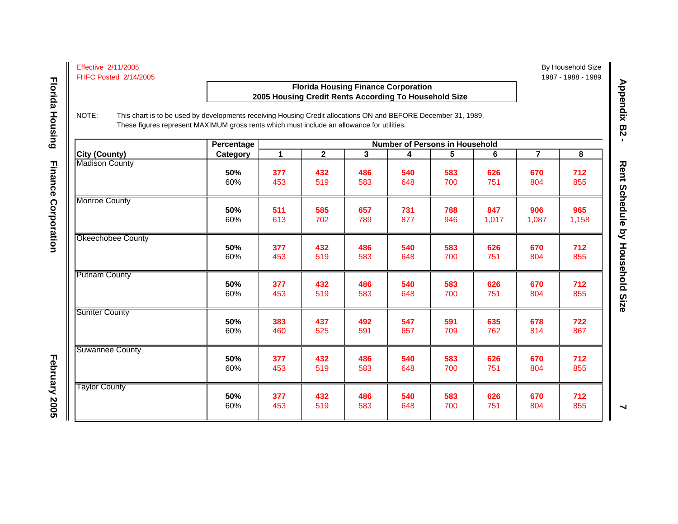### **Florida Housing Finance Corporation 2005 Housing Credit Rents According To Household Size**

NOTE: This chart is to be used by developments receiving Housing Credit allocations ON and BEFORE December 31, 1989. These figures represent MAXIMUM gross rents which must include an allowance for utilities.

|                        | Percentage | <b>Number of Persons in Household</b> |              |              |     |     |       |                |       |  |
|------------------------|------------|---------------------------------------|--------------|--------------|-----|-----|-------|----------------|-------|--|
| <b>City (County)</b>   | Category   | 1                                     | $\mathbf{2}$ | $\mathbf{3}$ | 4   | 5   | 6     | $\overline{7}$ | 8     |  |
| <b>Madison County</b>  | 50%        | 377                                   | 432          | 486          | 540 | 583 | 626   | 670            | 712   |  |
|                        | 60%        | 453                                   | 519          | 583          | 648 | 700 | 751   | 804            | 855   |  |
| <b>Monroe County</b>   | 50%        | 511                                   | 585          | 657          | 731 | 788 | 847   | 906            | 965   |  |
|                        | 60%        | 613                                   | 702          | 789          | 877 | 946 | 1,017 | 1,087          | 1,158 |  |
| Okeechobee County      | 50%        | 377                                   | 432          | 486          | 540 | 583 | 626   | 670            | 712   |  |
|                        | 60%        | 453                                   | 519          | 583          | 648 | 700 | 751   | 804            | 855   |  |
| <b>Putnam County</b>   | 50%        | 377                                   | 432          | 486          | 540 | 583 | 626   | 670            | 712   |  |
|                        | 60%        | 453                                   | 519          | 583          | 648 | 700 | 751   | 804            | 855   |  |
| <b>Sumter County</b>   | 50%        | 383                                   | 437          | 492          | 547 | 591 | 635   | 678            | 722   |  |
|                        | 60%        | 460                                   | 525          | 591          | 657 | 709 | 762   | 814            | 867   |  |
| <b>Suwannee County</b> | 50%        | 377                                   | 432          | 486          | 540 | 583 | 626   | 670            | 712   |  |
|                        | 60%        | 453                                   | 519          | 583          | 648 | 700 | 751   | 804            | 855   |  |
| <b>Taylor County</b>   | 50%        | 377                                   | 432          | 486          | 540 | 583 | 626   | 670            | 712   |  |
|                        | 60%        | 453                                   | 519          | 583          | 648 | 700 | 751   | 804            | 855   |  |

 By Household Size 1987 - 1988 - 1989

 $\blacktriangleleft$ 

February 2005